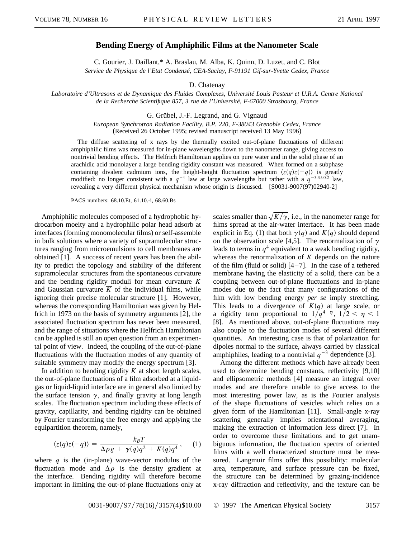## **Bending Energy of Amphiphilic Films at the Nanometer Scale**

C. Gourier, J. Daillant,\* A. Braslau, M. Alba, K. Quinn, D. Luzet, and C. Blot *Service de Physique de l'Etat Condensé, CEA-Saclay, F-91191 Gif-sur-Yvette Cedex, France*

D. Chatenay

*Laboratoire d'Ultrasons et de Dynamique des Fluides Complexes, Université Louis Pasteur et U.R.A. Centre National de la Recherche Scientifique 857, 3 rue de l'Université, F-67000 Strasbourg, France*

G. Grübel, J.-F. Legrand, and G. Vignaud

*European Synchrotron Radiation Facility, B.P. 220, F-38043 Grenoble Cedex, France* (Received 26 October 1995; revised manuscript received 13 May 1996)

The diffuse scattering of x rays by the thermally excited out-of-plane fluctuations of different amphiphilic films was measured for in-plane wavelengths down to the nanometer range, giving access to nontrivial bending effects. The Helfrich Hamiltonian applies on pure water and in the solid phase of an arachidic acid monolayer a large bending rigidity constant was measured. When formed on a subphase containing divalent cadmium ions, the height-height fluctuation spectrum  $\langle z(q)z(-q) \rangle$  is greatly modified: no longer consistent with a  $q^{-4}$  law at large wavelengths but rather with a  $q^{-3.3\pm0.2}$  law, revealing a very different physical mechanism whose origin is discussed. [S0031-9007(97)02940-2]

PACS numbers: 68.10.Et, 61.10.-i, 68.60.Bs

Amphiphilic molecules composed of a hydrophobic hydrocarbon moeity and a hydrophilic polar head adsorb at interfaces (forming monomolecular films) or self-assemble in bulk solutions where a variety of supramolecular structures ranging from microemulsions to cell membranes are obtained [1]. A success of recent years has been the ability to predict the topology and stability of the different supramolecular structures from the spontaneous curvature and the bending rigidity moduli for mean curvature *K* and Gaussian curvature  $\overline{K}$  of the individual films, while ignoring their precise molecular structure [1]. However, whereas the corresponding Hamiltonian was given by Helfrich in 1973 on the basis of symmetry arguments [2], the associated fluctuation spectrum has never been measured, and the range of situations where the Helfrich Hamiltonian can be applied is still an open question from an experimental point of view. Indeed, the coupling of the out-of-plane fluctuations with the fluctuation modes of any quantity of suitable symmetry may modify the energy spectrum [3].

In addition to bending rigidity *K* at short length scales, the out-of-plane fluctuations of a film adsorbed at a liquidgas or liquid-liquid interface are in general also limited by the surface tension  $\gamma$ , and finally gravity at long length scales. The fluctuation spectrum including these effects of gravity, capillarity, and bending rigidity can be obtained by Fourier transforming the free energy and applying the equipartition theorem, namely,

$$
\langle z(q)z(-q)\rangle = \frac{k_B T}{\Delta \rho g + \gamma(q)q^2 + K(q)q^4},\qquad(1)
$$

where *q* is the (in-plane) wave-vector modulus of the fluctuation mode and  $\Delta \rho$  is the density gradient at the interface. Bending rigidity will therefore become important in limiting the out-of-plane fluctuations only at

scales smaller than  $\sqrt{K/\gamma}$ , i.e., in the nanometer range for films spread at the air-water interface. It has been made explicit in Eq. (1) that both  $\gamma(q)$  and  $K(q)$  should depend on the observation scale [4,5]. The renormalization of  $\gamma$ leads to terms in  $q<sup>4</sup>$  equivalent to a weak bending rigidity, whereas the renormalization of *K* depends on the nature of the film (fluid or solid) [4–7]. In the case of a tethered membrane having the elasticity of a solid, there can be a coupling between out-of-plane fluctuations and in-plane modes due to the fact that many configurations of the film with low bending energy *per se* imply stretching. This leads to a divergence of  $K(q)$  at large scale, or a rigidity term proportional to  $1/q^{4-\eta}$ ,  $1/2 < \eta < 1$ [8]. As mentioned above, out-of-plane fluctuations may also couple to the fluctuation modes of several different quantities. An interesting case is that of polarization for dipoles normal to the surface, always carried by classical amphiphiles, leading to a nontrivial  $q^{-3}$  dependence [3].

Among the different methods which have already been used to determine bending constants, reflectivity [9,10] and ellipsometric methods [4] measure an integral over modes and are therefore unable to give access to the most interesting power law, as is the Fourier analysis of the shape fluctuations of vesicles which relies on a given form of the Hamiltonian [11]. Small-angle x-ray scattering generally implies orientational averaging, making the extraction of information less direct [7]. In order to overcome these limitations and to get unambiguous information, the fluctuation spectra of oriented films with a well characterized structure must be measured. Langmuir films offer this possibility: molecular area, temperature, and surface pressure can be fixed, the structure can be determined by grazing-incidence x-ray diffraction and reflectivity, and the texture can be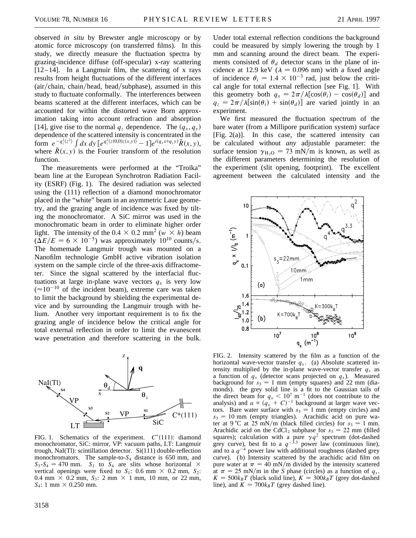observed *in situ* by Brewster angle microscopy or by atomic force microscopy (on transferred films). In this study, we directly measure the fluctuation spectra by grazing-incidence diffuse (off-specular) x-ray scattering  $[12-14]$ . In a Langmuir film, the scattering of x rays results from height fluctuations of the different interfaces  $(air/chain, chain/head, head/subphase)$ , assumed in this study to fluctuate conformally. The interferences between beams scattered at the different interfaces, which can be accounted for within the distorted wave Born approximation taking into account refraction and absorption [14], give rise to the normal  $q_z$  dependence. The  $(q_x, q_y)$ dependence of the scattered intensity is concentrated in the form  $e^{-q_z^2(z^2)} \int dx \, dy \, [e^{q_z^2(z(0,0)z(x,y))} - 1] e^{i(q_x x + q_y y)} \tilde{R}(x, y),$ where  $\tilde{R}(x, y)$  is the Fourier transform of the resolution function.

The measurements were performed at the "Troïka" beam line at the European Synchrotron Radiation Facility (ESRF) (Fig. 1). The desired radiation was selected using the (111) reflection of a diamond monochromator placed in the "white" beam in an asymmetric Laue geometry, and the grazing angle of incidence was fixed by tilting the monochromator. A SiC mirror was used in the monochromatic beam in order to eliminate higher order light. The intensity of the  $0.4 \times 0.2$  mm<sup>2</sup> ( $w \times h$ ) beam  $(\Delta E/E = 6 \times 10^{-5})$  was approximately 10<sup>10</sup> counts/s. The homemade Langmuir trough was mounted on a Nanofilm technologie GmbH active vibration isolation system on the sample circle of the three-axis diffractometer. Since the signal scattered by the interfacial fluctuations at large in-plane wave vectors  $q_x$  is very low  $(\approx 10^{-10}$  of the incident beam), extreme care was taken to limit the background by shielding the experimental device and by surrounding the Langmuir trough with helium. Another very important requirement is to fix the grazing angle of incidence below the critical angle for total external reflection in order to limit the evanescent wave penetration and therefore scattering in the bulk.



FIG. 1. Schematics of the experiment.  $C^*(111)$ : diamond monochromator, SiC: mirror, VP: vacuum paths, LT: Langmuir trough, NaI(Tl): scintillation detector. Si(111) double-reflection monochromators. The sample-to-*S*<sup>4</sup> distance is 650 mm, and  $S_3 - S_4 = 470$  mm.  $S_1$  to  $S_4$  are slits whose horizontal  $\times$ vertical openings were fixed to  $S_1$ : 0.6 mm  $\times$  0.2 mm,  $S_2$ : 0.4 mm  $\times$  0.2 mm, *S*<sub>3</sub>: 2 mm  $\times$  1 mm, 10 mm, or 22 mm, *S*<sub>4</sub>: 1 mm  $\times$  0.250 mm.

Under total external reflection conditions the background could be measured by simply lowering the trough by 1 mm and scanning around the direct beam. The experiments consisted of  $\theta_d$  detector scans in the plane of incidence at 12.9 keV ( $\lambda = 0.096$  nm) with a fixed angle of incidence  $\theta_i = 1.4 \times 10^{-3}$  rad, just below the critical angle for total external reflection [see Fig. 1]. With this geometry both  $q_x = 2\pi/\lambda[\cos(\theta_i) - \cos(\theta_d)]$  and  $q_z = 2\pi/\lambda[\sin(\theta_i) + \sin(\theta_d)]$  are varied jointly in an experiment.

We first measured the fluctuation spectrum of the bare water (from a Millipore purification system) surface [Fig. 2(a)]. In this case, the scattered intensity can be calculated without *any* adjustable parameter: the surface tension  $\gamma_{\text{H}_2\text{O}} = 73 \text{ mN/m}$  is known, as well as the different parameters determining the resolution of the experiment (slit opening, footprint). The excellent agreement between the calculated intensity and the



FIG. 2. Intensity scattered by the film as a function of the horizontal wave-vector transfer  $q_x$ . (a) Absolute scattered intensity multiplied by the in-plane wave-vector transfer  $q_x$  as a function of  $q_x$  (detector scans projected on  $q_x$ ). Measured background for  $s_3 = 1$  mm (empty squares) and 22 mm (diamonds). the grey solid line is a fit to the Gaussian tails of the direct beam for  $q_x < 10^7$  m<sup>-1</sup> (does not contribute to the analysis) and  $a \propto (q_x + C)^{-1}$  background at larger wave vectors. Bare water surface with  $s_3 = 1$  mm (empty circles) and  $s_3 = 10$  mm (empty triangles). Arachidic acid on pure water at 9 °C at 25 mN/m (black filled circles) for  $s_3 = 1$  mm. Arachidic acid on the CdCl<sub>2</sub> subphase for  $s_3 = 22$  mm (filled squares); calculation with a pure  $\gamma q^2$  spectrum (dot-dashed grey curve), best fit to a  $q^{-3.3}$  power law (continuous line), and to a  $q^{-4}$  power law with additional roughness (dashed grey curve). (b) Intensity scattered by the arachidic acid film on pure water at  $\pi = 40$  mN/m divided by the intensity scattered at  $\pi = 25$  mN/m in the *S* phase (circles) as a function of  $q_x$ .  $K = 500k_BT$  (black solid line),  $K = 300k_BT$  (grey dot-dashed line), and  $K = 700k_BT$  (grey dashed line).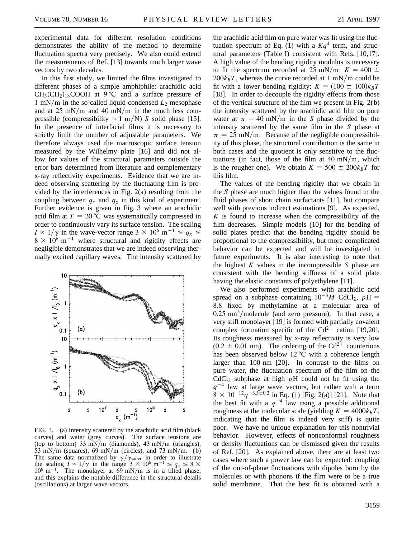experimental data for different resolution conditions demonstrates the ability of the method to determine fluctuation spectra very precisely. We also could extend the measurements of Ref. [13] towards much larger wave vectors by two decades.

In this first study, we limited the films investigated to different phases of a simple amphiphile: arachidic acid  $CH<sub>3</sub>(CH<sub>2</sub>)<sub>18</sub>COOH$  at 9 °C and a surface pressure of 1 mN/m in the so-called liquid-condensed  $L_2$  mesophase and at  $25 \text{ mN/m}$  and  $40 \text{ mN/m}$  in the much less compressible (compressibility  $\approx 1$  m/N) *S* solid phase [15]. In the presence of interfacial films it is necessary to strictly limit the number of adjustable parameters. We therefore always used the macroscopic surface tension measured by the Wilhelmy plate [16] and did not allow for values of the structural parameters outside the error bars determined from literature and complementary x-ray reflectivity experiments. Evidence that we are indeed observing scattering by the fluctuating film is provided by the interferences in Fig. 2(a) resulting from the coupling between  $q_x$  and  $q_z$  in this kind of experiment. Further evidence is given in Fig. 3 where an arachidic acid film at  $T = 20$  °C was systematically compressed in order to continuously vary its surface tension. The scaling  $I \propto 1/\gamma$  in the wave-vector range  $3 \times 10^6$  m<sup>-1</sup>  $\le q_x \le$  $8 \times 10^6$  m<sup>-1</sup> where structural and rigidity effects are negligible demonstrates that we are indeed observing thermally excited capillary waves. The intensity scattered by



FIG. 3. (a) Intensity scattered by the arachidic acid film (black curves) and water (grey curves). The surface tensions are (top to bottom) 33 mN/m (diamonds), 43 mN/m (triangles),  $53 \text{ mN/m}$  (squares), 69 mN/m (circles), and 73 mN/m. (b) The same data normalized by  $\gamma/\gamma_{\text{water}}$  in order to illustrate the scaling  $I \propto 1/\gamma$  in the range  $3 \times 10^6$  m<sup>-1</sup>  $\le q_x \le 8 \times$  $10^6$  m<sup>-1</sup>. The monolayer at 69 mN/m is in a tilted phase, and this explains the notable difference in the structural details (oscillations) at larger wave vectors.

the arachidic acid film on pure water was fit using the fluctuation spectrum of Eq. (1) with a  $Kq<sup>4</sup>$  term, and structural parameters (Table I) consistent with Refs. [10,17]. A high value of the bending rigidity modulus is necessary to fit the spectrum recorded at 25 mN/m:  $K = 400 \pm$  $200k_BT$ , whereas the curve recorded at 1 mN/m could be fit with a lower bending rigidity:  $K = (100 \pm 100)k_BT$ [18]. In order to decouple the rigidity effects from those of the vertical structure of the film we present in Fig. 2(b) the intensity scattered by the arachidic acid film on pure water at  $\pi = 40$  mN/m in the *S* phase divided by the intensity scattered by the same film in the *S* phase at  $\pi = 25$  mN/m. Because of the negligible compressibility of this phase, the structural contribution is the same in both cases and the quotient is only sensitive to the fluctuations (in fact, those of the film at  $40 \text{ mN/m}$ , which is the rougher one). We obtain  $K = 500 \pm 200 k_B T$  for this film.

The values of the bending rigidity that we obtain in the *S* phase are much higher than the values found in the fluid phases of short chain surfactants [11], but compare well with previous indirect estimations [9]. As expected, *K* is found to increase when the compressibility of the film decreases. Simple models [10] for the bending of solid plates predict that the bending rigidity should be proportional to the compressibility, but more complicated behavior can be expected and will be investigated in future experiments. It is also interesting to note that the highest *K* values in the incompressible *S* phase are consistent with the bending stiffness of a solid plate having the elastic constants of polyethylene [11].

We also performed experiments with arachidic acid spread on a subphase containing  $10^{-3}M$  CdCl<sub>2</sub>,  $pH =$ 8.8 fixed by methylamine at a molecular area of  $0.25$  nm<sup>2</sup>/molecule (and zero pressure). In that case, a very stiff monolayer [19] is formed with partially covalent complex formation specific of the  $Cd^{2+}$  cation [19,20]. Its roughness measured by x-ray reflectivity is very low  $(0.2 \pm 0.01 \text{ nm})$ . The ordering of the Cd<sup>2+</sup> counterions has been observed below  $12 \text{ °C}$  with a coherence length larger than 100 nm [20]. In contrast to the films on pure water, the fluctuation spectrum of the film on the  $CdCl<sub>2</sub>$  subphase at high  $pH$  could not be fit using the  $q^{-4}$  law at large wave vectors, but rather with a term  $8 \times 10^{-12} q^{-3.3\pm0.2}$  in Eq. (1) [Fig. 2(a)] [21]. Note that the best fit with a  $q^{-4}$  law using a possible additional roughness at the molecular scale (yielding  $K = 4000k_BT$ , indicating that the film is indeed very stiff) is quite poor. We have no unique explanation for this nontrivial behavior. However, effects of nonconformal roughness or density fluctuations can be dismissed given the results of Ref. [20]. As explained above, there are at least two cases where such a power law can be expected: coupling of the out-of-plane fluctuations with dipoles born by the molecules or with phonons if the film were to be a true solid membrane. That the best fit is obtained with a